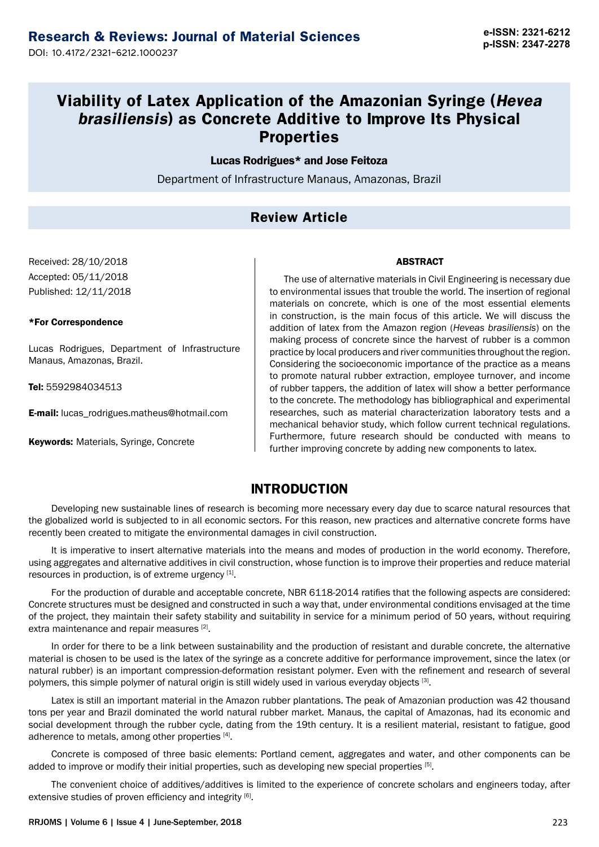**p-ISSN: 2347-2278** DOI: 10.4172/2321-6212.1000237

# **Viability of Latex Application of the Amazonian Syringe (Hevea brasiliensis) as Concrete Additive to Improve Its Physical Properties**

#### Lucas Rodrigues\* and Jose Feitoza

Department of Infrastructure Manaus, Amazonas, Brazil

# **Review Article**

Received: 28/10/2018 Accepted: 05/11/2018 Published: 12/11/2018

#### \*For Correspondence

Lucas Rodrigues, Department of Infrastructure Manaus, Amazonas, Brazil.

Tel: 5592984034513

E-mail: [lucas\\_rodrigues.matheus@hotmail.com](mailto:lucas_rodrigues.matheus@hotmail.com)

Keywords: Materials, Syringe, Concrete

#### **ARSTRACT**

The use of alternative materials in Civil Engineering is necessary due to environmental issues that trouble the world. The insertion of regional materials on concrete, which is one of the most essential elements in construction, is the main focus of this article. We will discuss the addition of latex from the Amazon region (*Heveas brasiliensis*) on the making process of concrete since the harvest of rubber is a common practice by local producers and river communities throughout the region. Considering the socioeconomic importance of the practice as a means to promote natural rubber extraction, employee turnover, and income of rubber tappers, the addition of latex will show a better performance to the concrete. The methodology has bibliographical and experimental researches, such as material characterization laboratory tests and a mechanical behavior study, which follow current technical regulations. Furthermore, future research should be conducted with means to further improving concrete by adding new components to latex.

### **INTRODUCTION**

Developing new sustainable lines of research is becoming more necessary every day due to scarce natural resources that the globalized world is subjected to in all economic sectors. For this reason, new practices and alternative concrete forms have recently been created to mitigate the environmental damages in civil construction.

It is imperative to insert alternative materials into the means and modes of production in the world economy. Therefore, using aggregates and alternative additives in civil construction, whose function is to improve their properties and reduce material resources in production, is of extreme urgency [1].

For the production of durable and acceptable concrete, NBR 6118-2014 ratifies that the following aspects are considered: Concrete structures must be designed and constructed in such a way that, under environmental conditions envisaged at the time of the project, they maintain their safety stability and suitability in service for a minimum period of 50 years, without requiring extra maintenance and repair measures [2].

In order for there to be a link between sustainability and the production of resistant and durable concrete, the alternative material is chosen to be used is the latex of the syringe as a concrete additive for performance improvement, since the latex (or natural rubber) is an important compression-deformation resistant polymer. Even with the refinement and research of several polymers, this simple polymer of natural origin is still widely used in various everyday objects [3].

Latex is still an important material in the Amazon rubber plantations. The peak of Amazonian production was 42 thousand tons per year and Brazil dominated the world natural rubber market. Manaus, the capital of Amazonas, had its economic and social development through the rubber cycle, dating from the 19th century. It is a resilient material, resistant to fatigue, good adherence to metals, among other properties [4].

Concrete is composed of three basic elements: Portland cement, aggregates and water, and other components can be added to improve or modify their initial properties, such as developing new special properties [5].

The convenient choice of additives/additives is limited to the experience of concrete scholars and engineers today, after extensive studies of proven efficiency and integrity [6].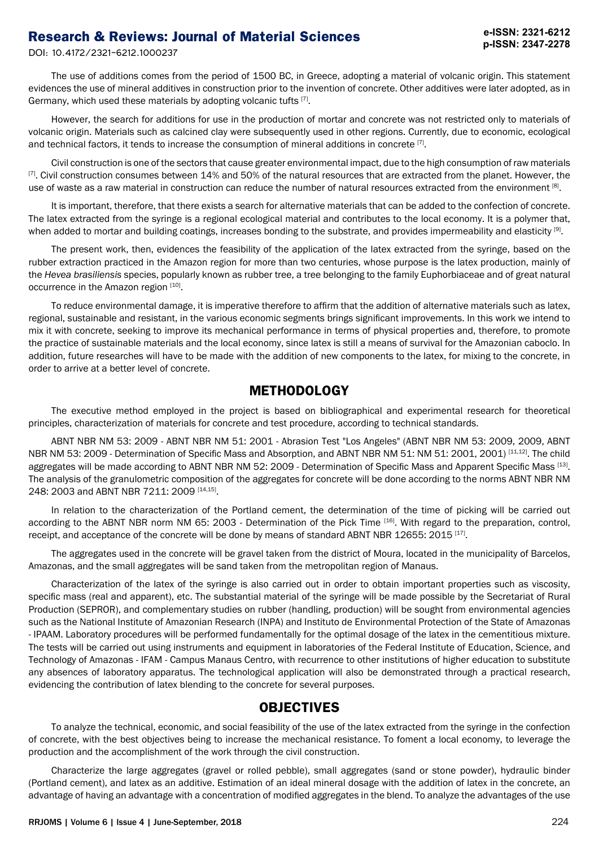# **Research & Reviews: Journal of Material Sciences**

DOI: 10.4172/2321-6212.1000237

The use of additions comes from the period of 1500 BC, in Greece, adopting a material of volcanic origin. This statement evidences the use of mineral additives in construction prior to the invention of concrete. Other additives were later adopted, as in Germany, which used these materials by adopting volcanic tufts [7].

However, the search for additions for use in the production of mortar and concrete was not restricted only to materials of volcanic origin. Materials such as calcined clay were subsequently used in other regions. Currently, due to economic, ecological and technical factors, it tends to increase the consumption of mineral additions in concrete [7].

Civil construction is one of the sectors that cause greater environmental impact, due to the high consumption of raw materials [7]. Civil construction consumes between 14% and 50% of the natural resources that are extracted from the planet. However, the use of waste as a raw material in construction can reduce the number of natural resources extracted from the environment [8].

It is important, therefore, that there exists a search for alternative materials that can be added to the confection of concrete. The latex extracted from the syringe is a regional ecological material and contributes to the local economy. It is a polymer that, when added to mortar and building coatings, increases bonding to the substrate, and provides impermeability and elasticity  $[9]$ .

The present work, then, evidences the feasibility of the application of the latex extracted from the syringe, based on the rubber extraction practiced in the Amazon region for more than two centuries, whose purpose is the latex production, mainly of the *Hevea brasiliensis* species, popularly known as rubber tree, a tree belonging to the family Euphorbiaceae and of great natural occurrence in the Amazon region [10].

To reduce environmental damage, it is imperative therefore to affirm that the addition of alternative materials such as latex, regional, sustainable and resistant, in the various economic segments brings significant improvements. In this work we intend to mix it with concrete, seeking to improve its mechanical performance in terms of physical properties and, therefore, to promote the practice of sustainable materials and the local economy, since latex is still a means of survival for the Amazonian caboclo. In addition, future researches will have to be made with the addition of new components to the latex, for mixing to the concrete, in order to arrive at a better level of concrete.

### **METHODOLOGY**

The executive method employed in the project is based on bibliographical and experimental research for theoretical principles, characterization of materials for concrete and test procedure, according to technical standards.

ABNT NBR NM 53: 2009 - ABNT NBR NM 51: 2001 - Abrasion Test "Los Angeles" (ABNT NBR NM 53: 2009, 2009, ABNT NBR NM 53: 2009 - Determination of Specific Mass and Absorption, and ABNT NBR NM 51: NM 51: 2001, 2001) [11,12]. The child aggregates will be made according to ABNT NBR NM 52: 2009 - Determination of Specific Mass and Apparent Specific Mass [13]. The analysis of the granulometric composition of the aggregates for concrete will be done according to the norms ABNT NBR NM 248: 2003 and ABNT NBR 7211: 2009 [14,15].

In relation to the characterization of the Portland cement, the determination of the time of picking will be carried out according to the ABNT NBR norm NM 65: 2003 - Determination of the Pick Time [16]. With regard to the preparation, control, receipt, and acceptance of the concrete will be done by means of standard ABNT NBR 12655: 2015<sup>[17]</sup>.

The aggregates used in the concrete will be gravel taken from the district of Moura, located in the municipality of Barcelos, Amazonas, and the small aggregates will be sand taken from the metropolitan region of Manaus.

Characterization of the latex of the syringe is also carried out in order to obtain important properties such as viscosity, specific mass (real and apparent), etc. The substantial material of the syringe will be made possible by the Secretariat of Rural Production (SEPROR), and complementary studies on rubber (handling, production) will be sought from environmental agencies such as the National Institute of Amazonian Research (INPA) and Instituto de Environmental Protection of the State of Amazonas - IPAAM. Laboratory procedures will be performed fundamentally for the optimal dosage of the latex in the cementitious mixture. The tests will be carried out using instruments and equipment in laboratories of the Federal Institute of Education, Science, and Technology of Amazonas - IFAM - Campus Manaus Centro, with recurrence to other institutions of higher education to substitute any absences of laboratory apparatus. The technological application will also be demonstrated through a practical research, evidencing the contribution of latex blending to the concrete for several purposes.

### **OBJECTIVES**

To analyze the technical, economic, and social feasibility of the use of the latex extracted from the syringe in the confection of concrete, with the best objectives being to increase the mechanical resistance. To foment a local economy, to leverage the production and the accomplishment of the work through the civil construction.

Characterize the large aggregates (gravel or rolled pebble), small aggregates (sand or stone powder), hydraulic binder (Portland cement), and latex as an additive. Estimation of an ideal mineral dosage with the addition of latex in the concrete, an advantage of having an advantage with a concentration of modified aggregates in the blend. To analyze the advantages of the use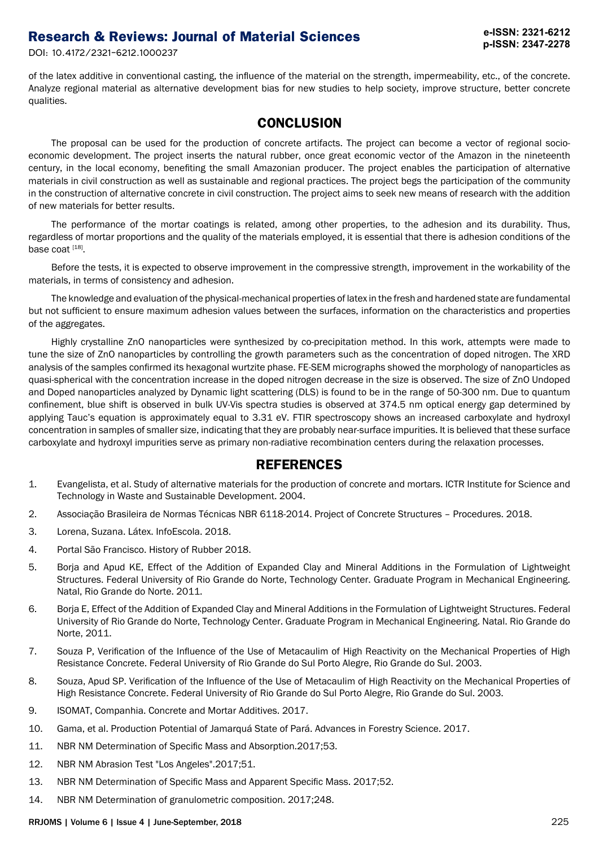# **Research & Reviews: Journal of Material Sciences**

DOI: 10.4172/2321-6212.1000237

of the latex additive in conventional casting, the influence of the material on the strength, impermeability, etc., of the concrete. Analyze regional material as alternative development bias for new studies to help society, improve structure, better concrete qualities.

# **CONCLUSION**

The proposal can be used for the production of concrete artifacts. The project can become a vector of regional socioeconomic development. The project inserts the natural rubber, once great economic vector of the Amazon in the nineteenth century, in the local economy, benefiting the small Amazonian producer. The project enables the participation of alternative materials in civil construction as well as sustainable and regional practices. The project begs the participation of the community in the construction of alternative concrete in civil construction. The project aims to seek new means of research with the addition of new materials for better results.

The performance of the mortar coatings is related, among other properties, to the adhesion and its durability. Thus, regardless of mortar proportions and the quality of the materials employed, it is essential that there is adhesion conditions of the base coat [18].

Before the tests, it is expected to observe improvement in the compressive strength, improvement in the workability of the materials, in terms of consistency and adhesion.

The knowledge and evaluation of the physical-mechanical properties of latex in the fresh and hardened state are fundamental but not sufficient to ensure maximum adhesion values between the surfaces, information on the characteristics and properties of the aggregates.

Highly crystalline ZnO nanoparticles were synthesized by co-precipitation method. In this work, attempts were made to tune the size of ZnO nanoparticles by controlling the growth parameters such as the concentration of doped nitrogen. The XRD analysis of the samples confirmed its hexagonal wurtzite phase. FE-SEM micrographs showed the morphology of nanoparticles as quasi-spherical with the concentration increase in the doped nitrogen decrease in the size is observed. The size of ZnO Undoped and Doped nanoparticles analyzed by Dynamic light scattering (DLS) is found to be in the range of 50-300 nm. Due to quantum confinement, blue shift is observed in bulk UV-Vis spectra studies is observed at 374.5 nm optical energy gap determined by applying Tauc's equation is approximately equal to 3.31 eV. FTIR spectroscopy shows an increased carboxylate and hydroxyl concentration in samples of smaller size, indicating that they are probably near-surface impurities. It is believed that these surface carboxylate and hydroxyl impurities serve as primary non-radiative recombination centers during the relaxation processes.

### **REFERENCES**

- 1. Evangelista, et al. Study of alternative materials for the production of concrete and mortars. ICTR Institute for Science and Technology in Waste and Sustainable Development. 2004.
- 2. Associação Brasileira de Normas Técnicas NBR 6118-2014. Project of Concrete Structures Procedures. 2018.
- 3. Lorena, Suzana. Látex. InfoEscola. 2018.
- 4. Portal São Francisco. History of Rubber 2018.
- 5. Borja and Apud KE, Effect of the Addition of Expanded Clay and Mineral Additions in the Formulation of Lightweight Structures. Federal University of Rio Grande do Norte, Technology Center. Graduate Program in Mechanical Engineering. Natal, Rio Grande do Norte. 2011.
- 6. Borja E, Effect of the Addition of Expanded Clay and Mineral Additions in the Formulation of Lightweight Structures. Federal University of Rio Grande do Norte, Technology Center. Graduate Program in Mechanical Engineering. Natal. Rio Grande do Norte, 2011.
- 7. Souza P, Verification of the Influence of the Use of Metacaulim of High Reactivity on the Mechanical Properties of High Resistance Concrete. Federal University of Rio Grande do Sul Porto Alegre, Rio Grande do Sul. 2003.
- 8. Souza, Apud SP. Verification of the Influence of the Use of Metacaulim of High Reactivity on the Mechanical Properties of High Resistance Concrete. Federal University of Rio Grande do Sul Porto Alegre, Rio Grande do Sul. 2003.
- 9. ISOMAT, Companhia. Concrete and Mortar Additives. 2017.
- 10. Gama, et al. Production Potential of Jamarquá State of Pará. Advances in Forestry Science. 2017.
- 11. NBR NM Determination of Specific Mass and Absorption.2017;53.
- 12. NBR NM Abrasion Test "Los Angeles".2017;51.
- 13. NBR NM Determination of Specific Mass and Apparent Specific Mass. 2017;52.
- 14. NBR NM Determination of granulometric composition. 2017;248.

#### RRJOMS | Volume 6 | Issue 4 | June-September, 2018 225